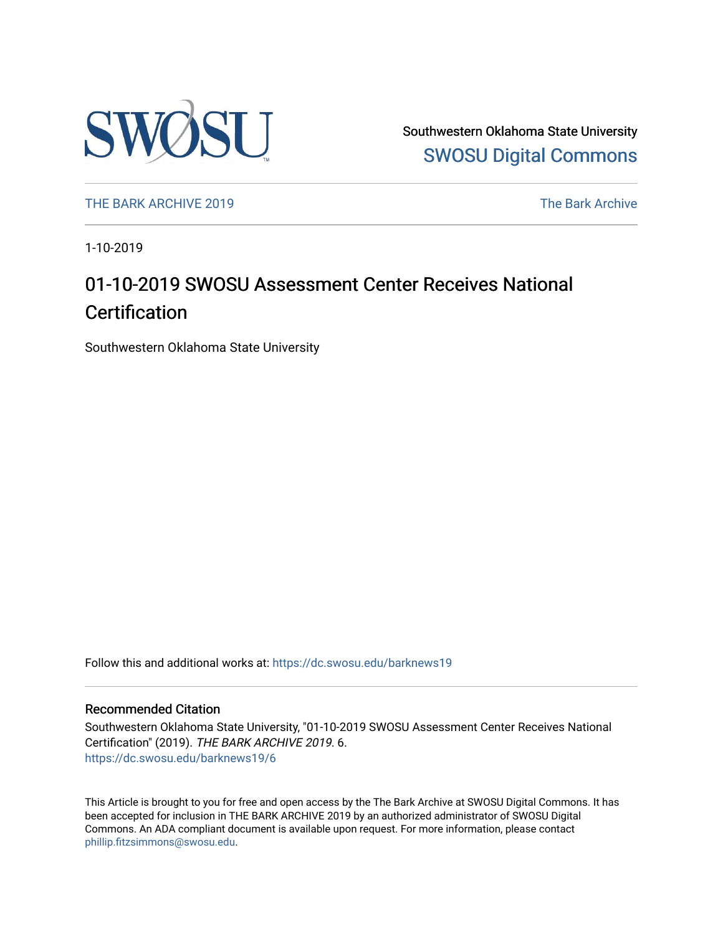

Southwestern Oklahoma State University [SWOSU Digital Commons](https://dc.swosu.edu/) 

[THE BARK ARCHIVE 2019](https://dc.swosu.edu/barknews19) The Bark Archive

1-10-2019

## 01-10-2019 SWOSU Assessment Center Receives National **Certification**

Southwestern Oklahoma State University

Follow this and additional works at: [https://dc.swosu.edu/barknews19](https://dc.swosu.edu/barknews19?utm_source=dc.swosu.edu%2Fbarknews19%2F6&utm_medium=PDF&utm_campaign=PDFCoverPages)

#### Recommended Citation

Southwestern Oklahoma State University, "01-10-2019 SWOSU Assessment Center Receives National Certification" (2019). THE BARK ARCHIVE 2019. 6. [https://dc.swosu.edu/barknews19/6](https://dc.swosu.edu/barknews19/6?utm_source=dc.swosu.edu%2Fbarknews19%2F6&utm_medium=PDF&utm_campaign=PDFCoverPages) 

This Article is brought to you for free and open access by the The Bark Archive at SWOSU Digital Commons. It has been accepted for inclusion in THE BARK ARCHIVE 2019 by an authorized administrator of SWOSU Digital Commons. An ADA compliant document is available upon request. For more information, please contact [phillip.fitzsimmons@swosu.edu](mailto:phillip.fitzsimmons@swosu.edu).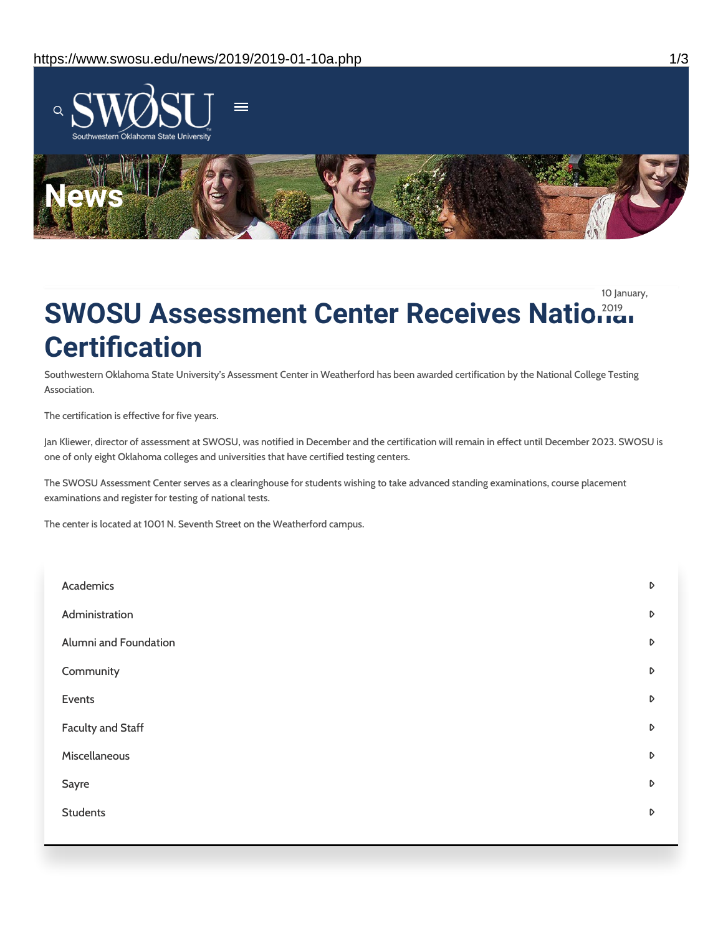

10 January,

# **SWOSU Assessment Center Receives National Certification**

Southwestern Oklahoma State University's Assessment Center in Weatherford has been awarded certification by the National College Testing Association.

The certification is effective for five years.

Jan Kliewer, director of assessment at SWOSU, was notified in December and the certification will remain in effect until December 2023. SWOSU is one of only eight Oklahoma colleges and universities that have certified testing centers.

The SWOSU Assessment Center serves as a clearinghouse for students wishing to take advanced standing examinations, course placement examinations and register for testing of national tests.

The center is located at 1001 N. Seventh Street on the Weatherford campus.

| Academics                | D                |
|--------------------------|------------------|
| Administration           | D                |
| Alumni and Foundation    | D                |
| Community                | $\triangleright$ |
| Events                   | $\triangleright$ |
| <b>Faculty and Staff</b> | $\triangleright$ |
| Miscellaneous            | D                |
| Sayre                    | D                |
| <b>Students</b>          | D                |
|                          |                  |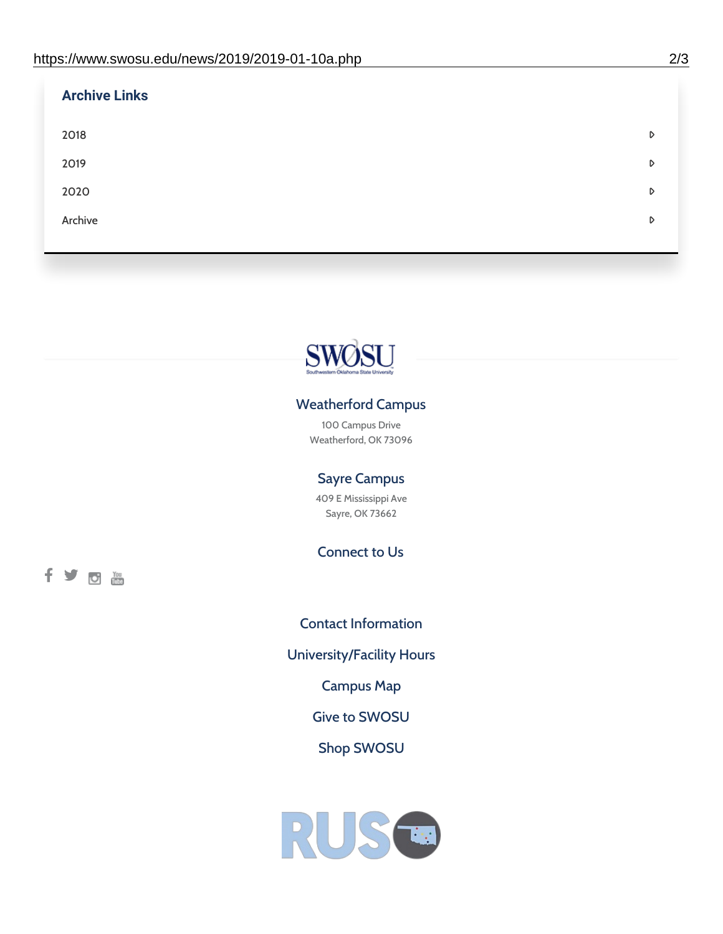| <b>Archive Links</b> |   |
|----------------------|---|
| 2018                 | D |
| 2019                 | D |
| 2020                 | D |
| Archive              | D |
|                      |   |



### Weatherford Campus

100 Campus Drive Weatherford, OK 73096

### Sayre Campus

409 E Mississippi Ave Sayre, OK 73662

Connect to Us

fyom

Contact [Information](https://www.swosu.edu/about/contact.php) [University/Facility](https://www.swosu.edu/about/operating-hours.php) Hours [Campus](https://map.concept3d.com/?id=768#!ct/10964,10214,10213,10212,10205,10204,10203,10202,10136,10129,10128,0,31226,10130,10201,10641,0) Map Give to [SWOSU](https://standingfirmly.com/donate) Shop [SWOSU](https://shopswosu.merchorders.com/)